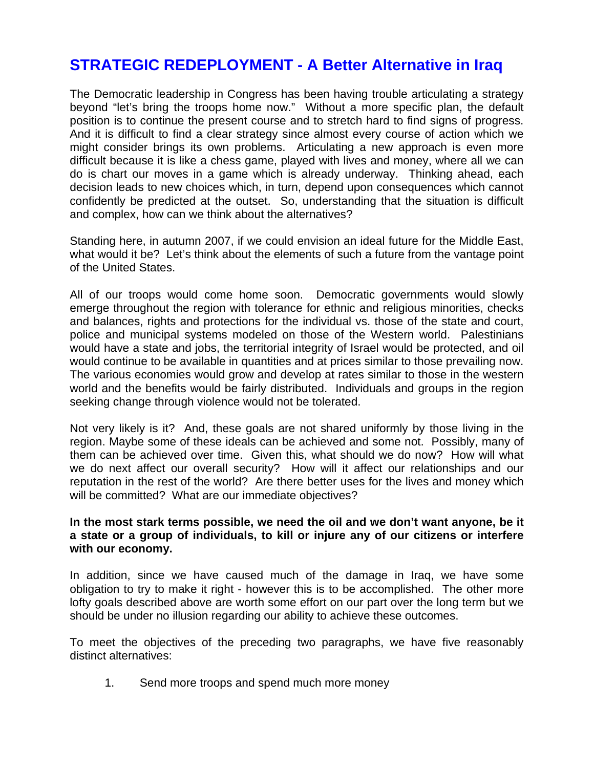## **STRATEGIC REDEPLOYMENT - A Better Alternative in Iraq**

The Democratic leadership in Congress has been having trouble articulating a strategy beyond "let's bring the troops home now." Without a more specific plan, the default position is to continue the present course and to stretch hard to find signs of progress. And it is difficult to find a clear strategy since almost every course of action which we might consider brings its own problems. Articulating a new approach is even more difficult because it is like a chess game, played with lives and money, where all we can do is chart our moves in a game which is already underway. Thinking ahead, each decision leads to new choices which, in turn, depend upon consequences which cannot confidently be predicted at the outset. So, understanding that the situation is difficult and complex, how can we think about the alternatives?

Standing here, in autumn 2007, if we could envision an ideal future for the Middle East, what would it be? Let's think about the elements of such a future from the vantage point of the United States.

All of our troops would come home soon. Democratic governments would slowly emerge throughout the region with tolerance for ethnic and religious minorities, checks and balances, rights and protections for the individual vs. those of the state and court, police and municipal systems modeled on those of the Western world. Palestinians would have a state and jobs, the territorial integrity of Israel would be protected, and oil would continue to be available in quantities and at prices similar to those prevailing now. The various economies would grow and develop at rates similar to those in the western world and the benefits would be fairly distributed. Individuals and groups in the region seeking change through violence would not be tolerated.

Not very likely is it? And, these goals are not shared uniformly by those living in the region. Maybe some of these ideals can be achieved and some not. Possibly, many of them can be achieved over time. Given this, what should we do now? How will what we do next affect our overall security? How will it affect our relationships and our reputation in the rest of the world? Are there better uses for the lives and money which will be committed? What are our immediate objectives?

## **In the most stark terms possible, we need the oil and we don't want anyone, be it a state or a group of individuals, to kill or injure any of our citizens or interfere with our economy.**

In addition, since we have caused much of the damage in Iraq, we have some obligation to try to make it right - however this is to be accomplished. The other more lofty goals described above are worth some effort on our part over the long term but we should be under no illusion regarding our ability to achieve these outcomes.

To meet the objectives of the preceding two paragraphs, we have five reasonably distinct alternatives:

1. Send more troops and spend much more money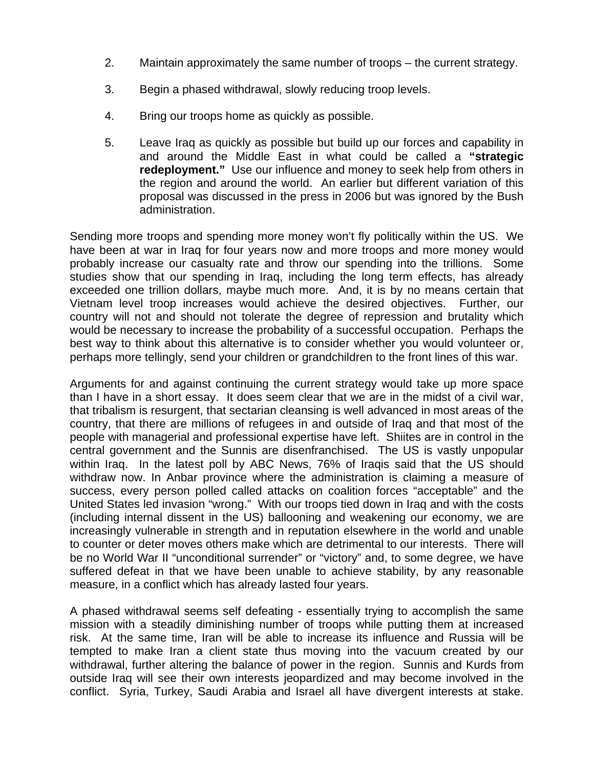- 2. Maintain approximately the same number of troops the current strategy.
- 3. Begin a phased withdrawal, slowly reducing troop levels.
- 4. Bring our troops home as quickly as possible.
- 5. Leave Iraq as quickly as possible but build up our forces and capability in and around the Middle East in what could be called a **"strategic redeployment."** Use our influence and money to seek help from others in the region and around the world. An earlier but different variation of this proposal was discussed in the press in 2006 but was ignored by the Bush administration.

Sending more troops and spending more money won't fly politically within the US. We have been at war in Iraq for four years now and more troops and more money would probably increase our casualty rate and throw our spending into the trillions. Some studies show that our spending in Iraq, including the long term effects, has already exceeded one trillion dollars, maybe much more. And, it is by no means certain that Vietnam level troop increases would achieve the desired objectives. Further, our country will not and should not tolerate the degree of repression and brutality which would be necessary to increase the probability of a successful occupation. Perhaps the best way to think about this alternative is to consider whether you would volunteer or, perhaps more tellingly, send your children or grandchildren to the front lines of this war.

Arguments for and against continuing the current strategy would take up more space than I have in a short essay. It does seem clear that we are in the midst of a civil war, that tribalism is resurgent, that sectarian cleansing is well advanced in most areas of the country, that there are millions of refugees in and outside of Iraq and that most of the people with managerial and professional expertise have left. Shiites are in control in the central government and the Sunnis are disenfranchised. The US is vastly unpopular within Iraq. In the latest poll by ABC News, 76% of Iraqis said that the US should withdraw now. In Anbar province where the administration is claiming a measure of success, every person polled called attacks on coalition forces "acceptable" and the United States led invasion "wrong." With our troops tied down in Iraq and with the costs (including internal dissent in the US) ballooning and weakening our economy, we are increasingly vulnerable in strength and in reputation elsewhere in the world and unable to counter or deter moves others make which are detrimental to our interests. There will be no World War II "unconditional surrender" or "victory" and, to some degree, we have suffered defeat in that we have been unable to achieve stability, by any reasonable measure, in a conflict which has already lasted four years.

A phased withdrawal seems self defeating - essentially trying to accomplish the same mission with a steadily diminishing number of troops while putting them at increased risk. At the same time, Iran will be able to increase its influence and Russia will be tempted to make Iran a client state thus moving into the vacuum created by our withdrawal, further altering the balance of power in the region. Sunnis and Kurds from outside Iraq will see their own interests jeopardized and may become involved in the conflict. Syria, Turkey, Saudi Arabia and Israel all have divergent interests at stake.